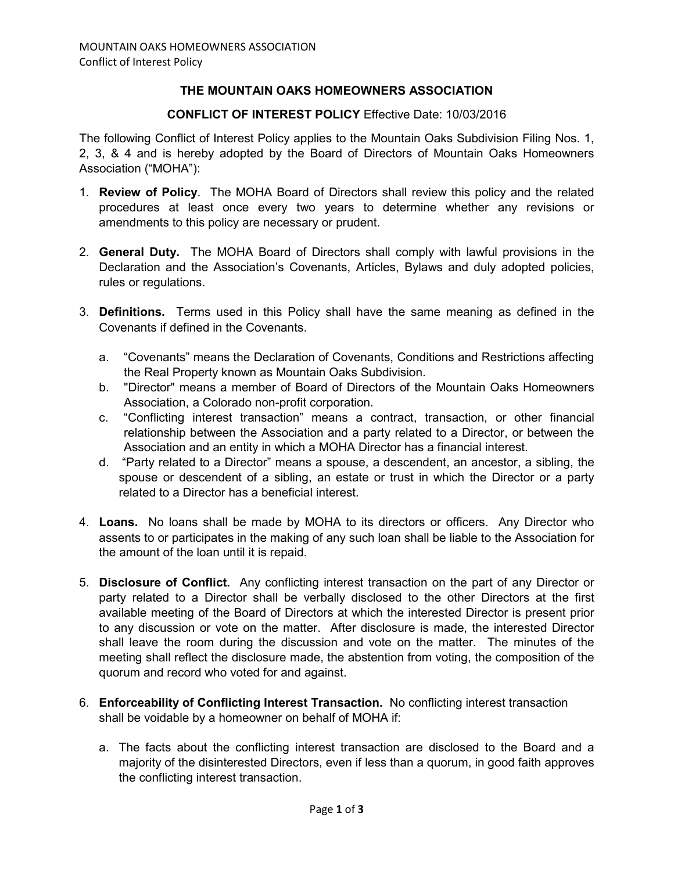## **THE MOUNTAIN OAKS HOMEOWNERS ASSOCIATION**

## **CONFLICT OF INTEREST POLICY** Effective Date: 10/03/2016

The following Conflict of Interest Policy applies to the Mountain Oaks Subdivision Filing Nos. 1, 2, 3, & 4 and is hereby adopted by the Board of Directors of Mountain Oaks Homeowners Association ("MOHA"):

- 1. **Review of Policy**. The MOHA Board of Directors shall review this policy and the related procedures at least once every two years to determine whether any revisions or amendments to this policy are necessary or prudent.
- 2. **General Duty.** The MOHA Board of Directors shall comply with lawful provisions in the Declaration and the Association's Covenants, Articles, Bylaws and duly adopted policies, rules or regulations.
- 3. **Definitions.** Terms used in this Policy shall have the same meaning as defined in the Covenants if defined in the Covenants.
	- a. "Covenants" means the Declaration of Covenants, Conditions and Restrictions affecting the Real Property known as Mountain Oaks Subdivision.
	- b. "Director" means a member of Board of Directors of the Mountain Oaks Homeowners Association, a Colorado non-profit corporation.
	- c. "Conflicting interest transaction" means a contract, transaction, or other financial relationship between the Association and a party related to a Director, or between the Association and an entity in which a MOHA Director has a financial interest.
	- d. "Party related to a Director" means a spouse, a descendent, an ancestor, a sibling, the spouse or descendent of a sibling, an estate or trust in which the Director or a party related to a Director has a beneficial interest.
- 4. **Loans.** No loans shall be made by MOHA to its directors or officers. Any Director who assents to or participates in the making of any such loan shall be liable to the Association for the amount of the loan until it is repaid.
- 5. **Disclosure of Conflict.** Any conflicting interest transaction on the part of any Director or party related to a Director shall be verbally disclosed to the other Directors at the first available meeting of the Board of Directors at which the interested Director is present prior to any discussion or vote on the matter. After disclosure is made, the interested Director shall leave the room during the discussion and vote on the matter. The minutes of the meeting shall reflect the disclosure made, the abstention from voting, the composition of the quorum and record who voted for and against.
- 6. **Enforceability of Conflicting Interest Transaction.** No conflicting interest transaction shall be voidable by a homeowner on behalf of MOHA if:
	- a. The facts about the conflicting interest transaction are disclosed to the Board and a majority of the disinterested Directors, even if less than a quorum, in good faith approves the conflicting interest transaction.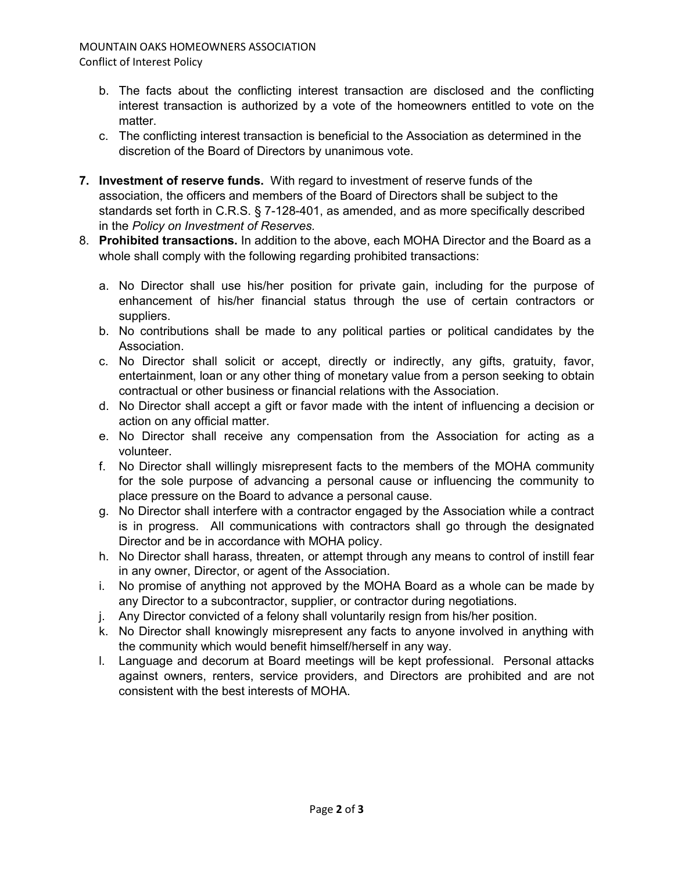## MOUNTAIN OAKS HOMEOWNERS ASSOCIATION Conflict of Interest Policy

- b. The facts about the conflicting interest transaction are disclosed and the conflicting interest transaction is authorized by a vote of the homeowners entitled to vote on the matter.
- c. The conflicting interest transaction is beneficial to the Association as determined in the discretion of the Board of Directors by unanimous vote.
- **7. Investment of reserve funds.** With regard to investment of reserve funds of the association, the officers and members of the Board of Directors shall be subject to the standards set forth in C.R.S. § 7-128-401, as amended, and as more specifically described in the *Policy on Investment of Reserves.*
- 8. **Prohibited transactions.** In addition to the above, each MOHA Director and the Board as a whole shall comply with the following regarding prohibited transactions:
	- a. No Director shall use his/her position for private gain, including for the purpose of enhancement of his/her financial status through the use of certain contractors or suppliers.
	- b. No contributions shall be made to any political parties or political candidates by the Association.
	- c. No Director shall solicit or accept, directly or indirectly, any gifts, gratuity, favor, entertainment, loan or any other thing of monetary value from a person seeking to obtain contractual or other business or financial relations with the Association.
	- d. No Director shall accept a gift or favor made with the intent of influencing a decision or action on any official matter.
	- e. No Director shall receive any compensation from the Association for acting as a volunteer.
	- f. No Director shall willingly misrepresent facts to the members of the MOHA community for the sole purpose of advancing a personal cause or influencing the community to place pressure on the Board to advance a personal cause.
	- g. No Director shall interfere with a contractor engaged by the Association while a contract is in progress. All communications with contractors shall go through the designated Director and be in accordance with MOHA policy.
	- h. No Director shall harass, threaten, or attempt through any means to control of instill fear in any owner, Director, or agent of the Association.
	- i. No promise of anything not approved by the MOHA Board as a whole can be made by any Director to a subcontractor, supplier, or contractor during negotiations.
	- j. Any Director convicted of a felony shall voluntarily resign from his/her position.
	- k. No Director shall knowingly misrepresent any facts to anyone involved in anything with the community which would benefit himself/herself in any way.
	- l. Language and decorum at Board meetings will be kept professional. Personal attacks against owners, renters, service providers, and Directors are prohibited and are not consistent with the best interests of MOHA.